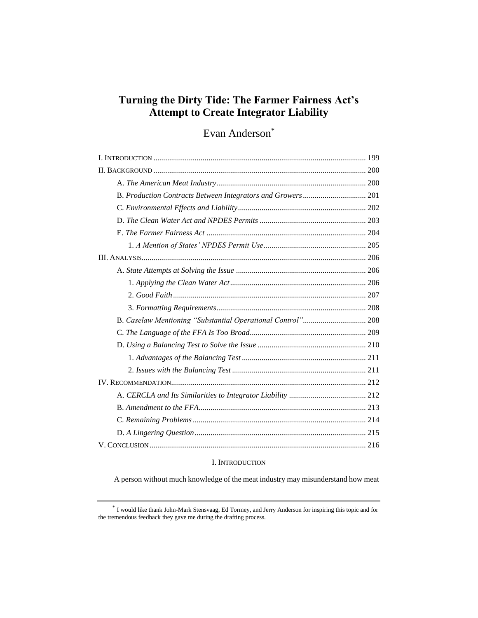# **Turning the Dirty Tide: The Farmer Fairness Act's Attempt to Create Integrator Liability**

# Evan Anderson\*

# I. INTRODUCTION

A person without much knowledge of the meat industry may misunderstand how meat

<sup>\*</sup> I would like thank John-Mark Stensvaag, Ed Tormey, and Jerry Anderson for inspiring this topic and for the tremendous feedback they gave me during the drafting process.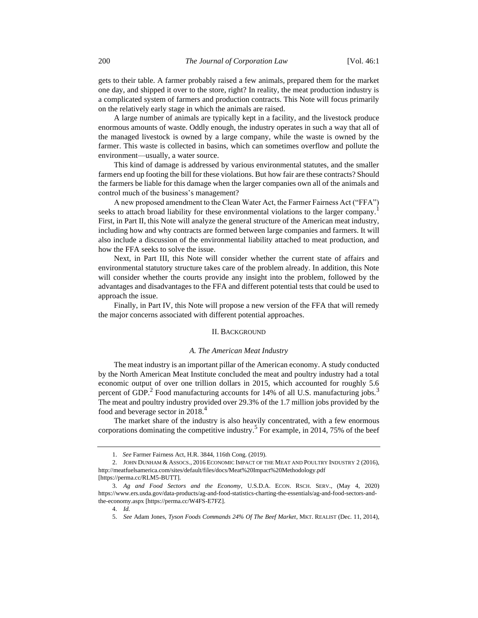gets to their table. A farmer probably raised a few animals, prepared them for the market one day, and shipped it over to the store, right? In reality, the meat production industry is a complicated system of farmers and production contracts. This Note will focus primarily on the relatively early stage in which the animals are raised.

A large number of animals are typically kept in a facility, and the livestock produce enormous amounts of waste. Oddly enough, the industry operates in such a way that all of the managed livestock is owned by a large company, while the waste is owned by the farmer. This waste is collected in basins, which can sometimes overflow and pollute the environment—usually, a water source.

This kind of damage is addressed by various environmental statutes, and the smaller farmers end up footing the bill for these violations. But how fair are these contracts? Should the farmers be liable for this damage when the larger companies own all of the animals and control much of the business's management?

A new proposed amendment to the Clean Water Act, the Farmer Fairness Act ("FFA") seeks to attach broad liability for these environmental violations to the larger company. First, in Part II, this Note will analyze the general structure of the American meat industry, including how and why contracts are formed between large companies and farmers. It will also include a discussion of the environmental liability attached to meat production, and how the FFA seeks to solve the issue.

Next, in Part III, this Note will consider whether the current state of affairs and environmental statutory structure takes care of the problem already. In addition, this Note will consider whether the courts provide any insight into the problem, followed by the advantages and disadvantages to the FFA and different potential tests that could be used to approach the issue.

Finally, in Part IV, this Note will propose a new version of the FFA that will remedy the major concerns associated with different potential approaches.

## II. BACKGROUND

## <span id="page-1-0"></span>*A. The American Meat Industry*

The meat industry is an important pillar of the American economy. A study conducted by the North American Meat Institute concluded the meat and poultry industry had a total economic output of over one trillion dollars in 2015, which accounted for roughly 5.6 percent of GDP.<sup>2</sup> Food manufacturing accounts for 14% of all U.S. manufacturing jobs.<sup>3</sup> The meat and poultry industry provided over 29.3% of the 1.7 million jobs provided by the food and beverage sector in 2018.<sup>4</sup>

The market share of the industry is also heavily concentrated, with a few enormous corporations dominating the competitive industry.<sup>5</sup> For example, in 2014, 75% of the beef

<sup>1.</sup> *See* Farmer Fairness Act, H.R. 3844, 116th Cong. (2019).

<sup>2.</sup> JOHN DUNHAM & ASSOCS., 2016 ECONOMIC IMPACT OF THE MEAT AND POULTRY INDUSTRY 2 (2016), http://meatfuelsamerica.com/sites/default/files/docs/Meat%20Impact%20Methodology.pdf [https://perma.cc/RLM5-BUTT].

<sup>3.</sup> *Ag and Food Sectors and the Economy*, U.S.D.A. ECON. RSCH. SERV., (May 4, 2020) https://www.ers.usda.gov/data-products/ag-and-food-statistics-charting-the-essentials/ag-and-food-sectors-andthe-economy.aspx [https://perma.cc/W4FS-E7FZ].

<sup>4.</sup> *Id.*

<sup>5.</sup> *See* Adam Jones, *[Tyson Foods Commands 24% Of The Beef Market](https://marketrealist.com/2014/12/tyson-foods-commands-24-of-the-beef-market/)*, MKT. REALIST (Dec. 11, 2014),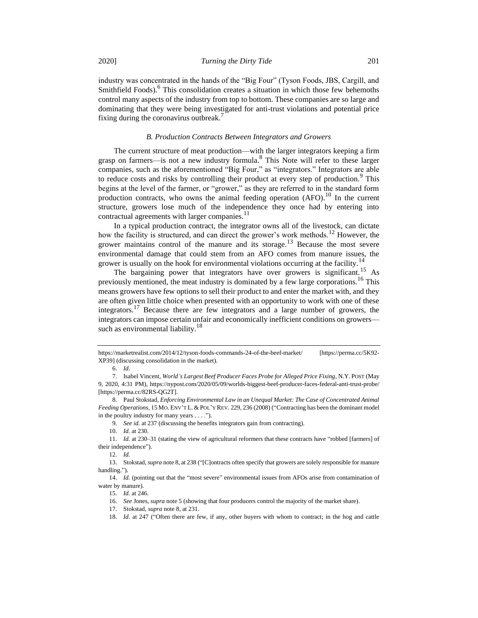industry was concentrated in the hands of the "Big Four" (Tyson Foods, JBS, Cargill, and Smithfield Foods).<sup>6</sup> This consolidation creates a situation in which those few behemoths control many aspects of the industry from top to bottom. These companies are so large and dominating that they were being investigated for anti-trust violations and potential price fixing during the coronavirus outbreak.<sup>7</sup>

## <span id="page-2-0"></span>*B. Production Contracts Between Integrators and Growers*

The current structure of meat production—with the larger integrators keeping a firm grasp on farmers—is not a new industry formula.<sup>8</sup> This Note will refer to these larger companies, such as the aforementioned "Big Four," as "integrators." Integrators are able to reduce costs and risks by controlling their product at every step of production.<sup>9</sup> This begins at the level of the farmer, or "grower," as they are referred to in the standard form production contracts, who owns the animal feeding operation  $(AFO)$ .<sup>10</sup> In the current structure, growers lose much of the independence they once had by entering into contractual agreements with larger companies.<sup>11</sup>

In a typical production contract, the integrator owns all of the livestock, can dictate how the facility is structured, and can direct the grower's work methods.<sup>12</sup> However, the grower maintains control of the manure and its storage.<sup>13</sup> Because the most severe environmental damage that could stem from an AFO comes from manure issues, the grower is usually on the hook for environmental violations occurring at the facility.<sup>14</sup>

The bargaining power that integrators have over growers is significant.<sup>15</sup> As previously mentioned, the meat industry is dominated by a few large corporations.<sup>16</sup> This means growers have few options to sell their product to and enter the market with, and they are often given little choice when presented with an opportunity to work with one of these integrators.<sup>17</sup> Because there are few integrators and a large number of growers, the integrators can impose certain unfair and economically inefficient conditions on growers such as environmental liability.<sup>18</sup>

9. *See id.* at 237 (discussing the benefits integrators gain from contracting).

10. *Id.* at 230.

https://marketrealist.com/2014/12/tyson-foods-commands-24-of-the-beef-market/ [https://perma.cc/5K92- XP39] (discussing consolidation in the market).

<sup>6.</sup> *Id.*

<sup>7.</sup> Isabel Vincent, *World's Largest Beef Producer Faces Probe for Alleged Price Fixing*, N.Y. POST (May 9, 2020, 4:31 PM), https://nypost.com/2020/05/09/worlds-biggest-beef-producer-faces-federal-anti-trust-probe/ [https://perma.cc/82RS-QG2T].

<sup>8.</sup> Paul Stokstad, *Enforcing Environmental Law in an Unequal Market: The Case of Concentrated Animal Feeding Operations*, 15 MO. ENV'T L.& POL'Y REV. 229, 236 (2008) ("Contracting has been the dominant model in the poultry industry for many years . . . .").

<sup>11.</sup> *Id.* at 230–31 (stating the view of agricultural reformers that these contracts have "robbed [farmers] of their independence").

<sup>13.</sup> Stokstad, *supra* not[e 8,](#page-2-0) at 238 ("[C]ontracts often specify that growers are solely responsible for manure handling.").

<sup>14.</sup> *Id.* (pointing out that the "most severe" environmental issues from AFOs arise from contamination of water by manure).

<sup>15.</sup> *Id.* at 246.

<sup>16.</sup> *See* Jones, *supra* not[e 5](#page-1-0) (showing that four producers control the majority of the market share).

<sup>17.</sup> Stokstad, *supra* not[e 8,](#page-2-0) at 231.

<sup>18.</sup> *Id.* at 247 ("Often there are few, if any, other buyers with whom to contract; in the hog and cattle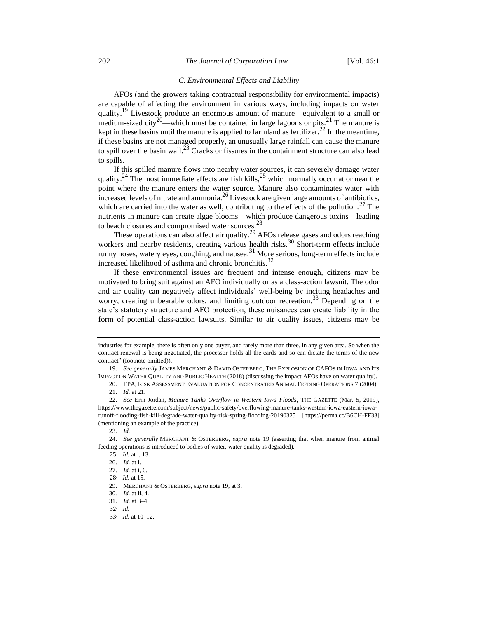## *C. Environmental Effects and Liability*

<span id="page-3-0"></span>AFOs (and the growers taking contractual responsibility for environmental impacts) are capable of affecting the environment in various ways, including impacts on water quality.<sup>19</sup> Livestock produce an enormous amount of manure—equivalent to a small or medium-sized city<sup>20</sup>—which must be contained in large lagoons or pits.<sup>21</sup> The manure is kept in these basins until the manure is applied to farmland as fertilizer.<sup>22</sup> In the meantime, if these basins are not managed properly, an unusually large rainfall can cause the manure to spill over the basin wall.<sup>23</sup> Cracks or fissures in the containment structure can also lead to spills.

If this spilled manure flows into nearby water sources, it can severely damage water quality.<sup>24</sup> The most immediate effects are fish kills,<sup>25</sup> which normally occur at or near the point where the manure enters the water source. Manure also contaminates water with increased levels of nitrate and ammonia.<sup>26</sup> Livestock are given large amounts of antibiotics, which are carried into the water as well, contributing to the effects of the pollution.<sup>27</sup> The nutrients in manure can create algae blooms—which produce dangerous toxins—leading to beach closures and compromised water sources.<sup>28</sup>

These operations can also affect air quality.<sup>29</sup> AFOs release gases and odors reaching workers and nearby residents, creating various health risks.<sup>30</sup> Short-term effects include runny noses, watery eyes, coughing, and nausea.<sup>31</sup> More serious, long-term effects include increased likelihood of asthma and chronic bronchitis.<sup>32</sup>

If these environmental issues are frequent and intense enough, citizens may be motivated to bring suit against an AFO individually or as a class-action lawsuit. The odor and air quality can negatively affect individuals' well-being by inciting headaches and worry, creating unbearable odors, and limiting outdoor recreation.<sup>33</sup> Depending on the state's statutory structure and AFO protection, these nuisances can create liability in the form of potential class-action lawsuits. Similar to air quality issues, citizens may be

24. *See generally* MERCHANT & OSTERBERG, *supra* note [19](#page-3-0) (asserting that when manure from animal feeding operations is introduced to bodies of water, water quality is degraded).

industries for example, there is often only one buyer, and rarely more than three, in any given area. So when the contract renewal is being negotiated, the processor holds all the cards and so can dictate the terms of the new contract" (footnote omitted)).

<sup>19.</sup> *See generally* JAMES MERCHANT & DAVID OSTERBERG, THE EXPLOSION OF CAFOS IN IOWA AND ITS IMPACT ON WATER QUALITY AND PUBLIC HEALTH (2018) (discussing the impact AFOs have on water quality).

<sup>20.</sup> EPA, RISK ASSESSMENT EVALUATION FOR CONCENTRATED ANIMAL FEEDING OPERATIONS 7 (2004). 21. *Id.* at 21.

<sup>22.</sup> *See* Erin Jordan, *Manure Tanks Overflow in Western Iowa Floods*, THE GAZETTE (Mar. 5, 2019), https://www.thegazette.com/subject/news/public-safety/overflowing-manure-tanks-western-iowa-eastern-iowarunoff-flooding-fish-kill-degrade-water-quality-risk-spring-flooding-20190325 [https://perma.cc/B6CH-FF33] (mentioning an example of the practice).

<sup>23.</sup> *Id.*

<sup>25</sup>. *Id.* at i, 13.

<sup>26.</sup> *Id.* at i.

<sup>27.</sup> *Id.* at i, 6.

<sup>28</sup>. *Id.* at 15.

<sup>29.</sup> MERCHANT & OSTERBERG, *supra* not[e 19,](#page-3-0) at 3.

<sup>30</sup>*. Id.* at ii, 4.

<sup>31.</sup> *Id.* at 3–4.

<sup>32</sup>. *Id.*

<sup>33</sup>. *Id.* at 10–12.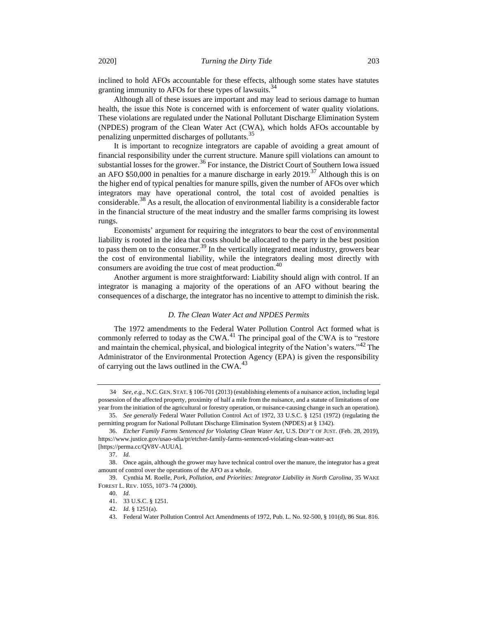inclined to hold AFOs accountable for these effects, although some states have statutes granting immunity to AFOs for these types of lawsuits. $34$ 

Although all of these issues are important and may lead to serious damage to human health, the issue this Note is concerned with is enforcement of water quality violations. These violations are regulated under the National Pollutant Discharge Elimination System (NPDES) program of the Clean Water Act (CWA), which holds AFOs accountable by penalizing unpermitted discharges of pollutants.<sup>35</sup>

It is important to recognize integrators are capable of avoiding a great amount of financial responsibility under the current structure. Manure spill violations can amount to substantial losses for the grower.<sup>36</sup> For instance, the District Court of Southern Iowa issued an AFO \$50,000 in penalties for a manure discharge in early 2019.<sup>37</sup> Although this is on the higher end of typical penalties for manure spills, given the number of AFOs over which integrators may have operational control, the total cost of avoided penalties is considerable.<sup>38</sup> As a result, the allocation of environmental liability is a considerable factor in the financial structure of the meat industry and the smaller farms comprising its lowest rungs.

Economists' argument for requiring the integrators to bear the cost of environmental liability is rooted in the idea that costs should be allocated to the party in the best position to pass them on to the consumer.<sup>39</sup> In the vertically integrated meat industry, growers bear the cost of environmental liability, while the integrators dealing most directly with consumers are avoiding the true cost of meat production.<sup>40</sup>

Another argument is more straightforward: Liability should align with control. If an integrator is managing a majority of the operations of an AFO without bearing the consequences of a discharge, the integrator has no incentive to attempt to diminish the risk.

#### *D. The Clean Water Act and NPDES Permits*

The 1972 amendments to the Federal Water Pollution Control Act formed what is commonly referred to today as the CWA.<sup>41</sup> The principal goal of the CWA is to "restore and maintain the chemical, physical, and biological integrity of the Nation's waters."<sup>42</sup> The Administrator of the Environmental Protection Agency (EPA) is given the responsibility of carrying out the laws outlined in the CWA.<sup>43</sup>

<sup>34</sup>. *See, e.g.*, N.C. GEN. STAT. § 106-701 (2013) (establishing elements of a nuisance action, including legal possession of the affected property, proximity of half a mile from the nuisance, and a statute of limitations of one year from the initiation of the agricultural or forestry operation, or nuisance-causing change in such an operation).

<sup>35.</sup> *See generally* Federal Water Pollution Control Act of 1972, 33 U.S.C. § 1251 (1972) (regulating the permitting program for National Pollutant Discharge Elimination System (NPDES) at § 1342).

<sup>36.</sup> *Etcher Family Farms Sentenced for Violating Clean Water Act*, U.S. DEP'T OF JUST. (Feb. 28, 2019), https://www.justice.gov/usao-sdia/pr/etcher-family-farms-sentenced-violating-clean-water-act [https://perma.cc/QV8V-AUUA].

<sup>37.</sup> *Id.*

<sup>38.</sup> Once again, although the grower may have technical control over the manure, the integrator has a great amount of control over the operations of the AFO as a whole.

<sup>39.</sup> Cynthia M. Roelle, *Pork, Pollution, and Priorities: Integrator Liability in North Carolina*, 35 WAKE FOREST L. REV. 1055, 1073–74 (2000).

<sup>40.</sup> *Id.*

<sup>41.</sup> 33 U.S.C. § 1251.

<sup>42.</sup> *Id.* § 1251(a).

<sup>43.</sup> Federal Water Pollution Control Act Amendments of 1972, Pub. L. No. 92-500, § 101(d), 86 Stat. 816.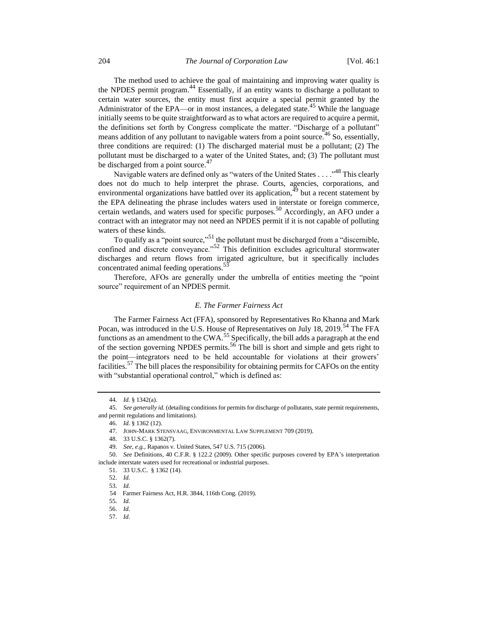The method used to achieve the goal of maintaining and improving water quality is the NPDES permit program. $^{44}$  Essentially, if an entity wants to discharge a pollutant to certain water sources, the entity must first acquire a special permit granted by the Administrator of the EPA—or in most instances, a delegated state.<sup>45</sup> While the language initially seems to be quite straightforward as to what actors are required to acquire a permit, the definitions set forth by Congress complicate the matter. "Discharge of a pollutant" means addition of any pollutant to navigable waters from a point source.<sup>46</sup> So, essentially, three conditions are required: (1) The discharged material must be a pollutant; (2) The pollutant must be discharged to a water of the United States, and; (3) The pollutant must be discharged from a point source.<sup>47</sup>

Navigable waters are defined only as "waters of the United States . . . ."<sup>48</sup> This clearly does not do much to help interpret the phrase. Courts, agencies, corporations, and environmental organizations have battled over its application,<sup>49</sup> but a recent statement by the EPA delineating the phrase includes waters used in interstate or foreign commerce, certain wetlands, and waters used for specific purposes.<sup>50</sup> Accordingly, an AFO under a contract with an integrator may not need an NPDES permit if it is not capable of polluting waters of these kinds.

To qualify as a "point source,"<sup>51</sup> the pollutant must be discharged from a "discernible, confined and discrete conveyance."<sup>52</sup> This definition excludes agricultural stormwater discharges and return flows from irrigated agriculture, but it specifically includes concentrated animal feeding operations.<sup>53</sup>

Therefore, AFOs are generally under the umbrella of entities meeting the "point source" requirement of an NPDES permit.

# *E. The Farmer Fairness Act*

The Farmer Fairness Act (FFA), sponsored by Representatives Ro Khanna and Mark Pocan, was introduced in the U.S. House of Representatives on July 18, 2019.<sup>54</sup> The FFA functions as an amendment to the CWA.<sup>55</sup> Specifically, the bill adds a paragraph at the end of the section governing NPDES permits.<sup>56</sup> The bill is short and simple and gets right to the point—integrators need to be held accountable for violations at their growers' facilities.<sup>57</sup> The bill places the responsibility for obtaining permits for CAFOs on the entity with "substantial operational control," which is defined as:

<sup>44.</sup> *Id.* § 1342(a).

<sup>45.</sup> *See generally id.* (detailing conditions for permits for discharge of pollutants, state permit requirements, and permit regulations and limitations).

<sup>46.</sup> *Id.* § 1362 (12).

<sup>47.</sup> JOHN-MARK STENSVAAG, ENVIRONMENTAL LAW SUPPLEMENT 709 (2019).

<sup>48.</sup> 33 U.S.C. § 1362(7).

<sup>49.</sup> *See, e.g.*, Rapanos v. United States, 547 U.S. 715 (2006).

<sup>50.</sup> *See* Definitions, 40 C.F.R. § 122.2 (2009). Other specific purposes covered by EPA's interpretation include interstate waters used for recreational or industrial purposes.

<sup>51.</sup> 33 U.S.C. § 1362 (14).

<sup>52.</sup> *Id.*

<sup>53.</sup> *Id.*

<sup>54</sup>. Farmer Fairness Act, H.R. 3844, 116th Cong. (2019).

<sup>55.</sup> *Id.*

<sup>56.</sup> *Id.*

<sup>57</sup>*. Id.*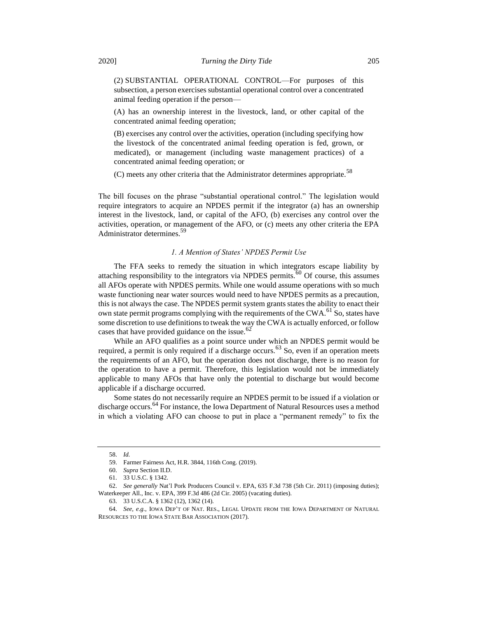(2) SUBSTANTIAL OPERATIONAL CONTROL—For purposes of this subsection, a person exercises substantial operational control over a concentrated animal feeding operation if the person—

(A) has an ownership interest in the livestock, land, or other capital of the concentrated animal feeding operation;

(B) exercises any control over the activities, operation (including specifying how the livestock of the concentrated animal feeding operation is fed, grown, or medicated), or management (including waste management practices) of a concentrated animal feeding operation; or

(C) meets any other criteria that the Administrator determines appropriate.<sup>58</sup>

The bill focuses on the phrase "substantial operational control." The legislation would require integrators to acquire an NPDES permit if the integrator (a) has an ownership interest in the livestock, land, or capital of the AFO, (b) exercises any control over the activities, operation, or management of the AFO, or (c) meets any other criteria the EPA Administrator determines.<sup>59</sup>

## *1. A Mention of States' NPDES Permit Use*

The FFA seeks to remedy the situation in which integrators escape liability by attaching responsibility to the integrators via NPDES permits.<sup>60</sup> Of course, this assumes all AFOs operate with NPDES permits. While one would assume operations with so much waste functioning near water sources would need to have NPDES permits as a precaution, this is not always the case. The NPDES permit system grants states the ability to enact their own state permit programs complying with the requirements of the CWA.<sup>61</sup> So, states have some discretion to use definitions to tweak the way the CWA is actually enforced, or follow cases that have provided guidance on the issue. $62$ 

While an AFO qualifies as a point source under which an NPDES permit would be required, a permit is only required if a discharge occurs.<sup>63</sup> So, even if an operation meets the requirements of an AFO, but the operation does not discharge, there is no reason for the operation to have a permit. Therefore, this legislation would not be immediately applicable to many AFOs that have only the potential to discharge but would become applicable if a discharge occurred.

Some states do not necessarily require an NPDES permit to be issued if a violation or discharge occurs.<sup>64</sup> For instance, the Iowa Department of Natural Resources uses a method in which a violating AFO can choose to put in place a "permanent remedy" to fix the

<sup>58.</sup> *Id.*

<sup>59.</sup> Farmer Fairness Act, H.R. 3844, 116th Cong. (2019).

<sup>60.</sup> *Supra* Section II.D.

<sup>61.</sup> 33 U.S.C. § 1342.

<sup>62.</sup> *See generally* Nat'l Pork Producers Council v. EPA, 635 F.3d 738 (5th Cir. 2011) (imposing duties); Waterkeeper All., Inc. v. EPA, 399 F.3d 486 (2d Cir. 2005) (vacating duties).

<sup>63.</sup> 33 U.S.C.A. § 1362 (12), 1362 (14).

<sup>64.</sup> *See, e.g.*, IOWA DEP'T OF NAT. RES., LEGAL UPDATE FROM THE IOWA DEPARTMENT OF NATURAL RESOURCES TO THE IOWA STATE BAR ASSOCIATION (2017).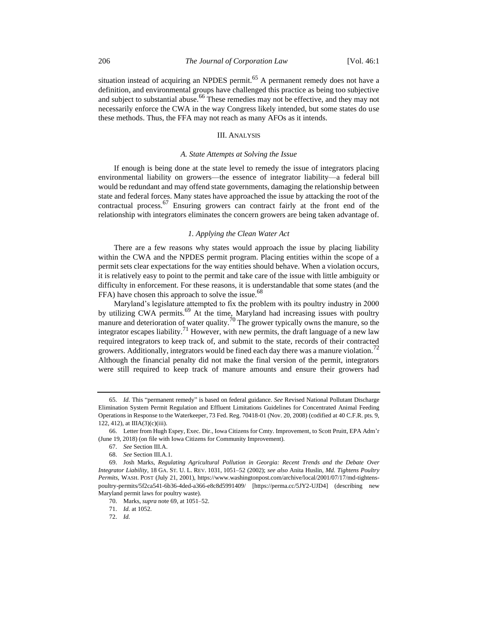situation instead of acquiring an NPDES permit.<sup>65</sup> A permanent remedy does not have a definition, and environmental groups have challenged this practice as being too subjective and subject to substantial abuse.<sup>66</sup> These remedies may not be effective, and they may not necessarily enforce the CWA in the way Congress likely intended, but some states do use these methods. Thus, the FFA may not reach as many AFOs as it intends.

### III. ANALYSIS

## *A. State Attempts at Solving the Issue*

If enough is being done at the state level to remedy the issue of integrators placing environmental liability on growers—the essence of integrator liability—a federal bill would be redundant and may offend state governments, damaging the relationship between state and federal forces. Many states have approached the issue by attacking the root of the contractual process.<sup>67</sup> Ensuring growers can contract fairly at the front end of the relationship with integrators eliminates the concern growers are being taken advantage of.

#### <span id="page-7-0"></span>*1. Applying the Clean Water Act*

There are a few reasons why states would approach the issue by placing liability within the CWA and the NPDES permit program. Placing entities within the scope of a permit sets clear expectations for the way entities should behave. When a violation occurs, it is relatively easy to point to the permit and take care of the issue with little ambiguity or difficulty in enforcement. For these reasons, it is understandable that some states (and the FFA) have chosen this approach to solve the issue.<sup>68</sup>

Maryland's legislature attempted to fix the problem with its poultry industry in 2000 by utilizing CWA permits.<sup>69</sup> At the time, Maryland had increasing issues with poultry manure and deterioration of water quality.<sup>70</sup> The grower typically owns the manure, so the integrator escapes liability.<sup>71</sup> However, with new permits, the draft language of a new law required integrators to keep track of, and submit to the state, records of their contracted growers. Additionally, integrators would be fined each day there was a manure violation.<sup>72</sup> Although the financial penalty did not make the final version of the permit, integrators were still required to keep track of manure amounts and ensure their growers had

<sup>65.</sup> *Id.* This "permanent remedy" is based on federal guidance. *See* Revised National Pollutant Discharge Elimination System Permit Regulation and Effluent Limitations Guidelines for Concentrated Animal Feeding Operations in Response to the Waterkeeper, 73 Fed. Reg. 70418-01 (Nov. 20, 2008) (codified at 40 C.F.R. pts. 9, 122, 412), at IIIA(3)(c)(iii).

<sup>66.</sup> Letter from Hugh Espey, Exec. Dir., Iowa Citizens for Cmty. Improvement, to Scott Pruitt, EPA Adm'r (June 19, 2018) (on file with Iowa Citizens for Community Improvement).

<sup>67.</sup> *See* Section III.A.

<sup>68.</sup> *See* Section III.A.1.

<sup>69.</sup> Josh Marks, *Regulating Agricultural Pollution in Georgia: Recent Trends and the Debate Over Integrator Liability*, 18 GA. ST. U. L. REV. 1031, 1051–52 (2002); *see also* Anita Huslin, *Md. Tightens Poultry Permits*, WASH. POST (July 21, 2001), https://www.washingtonpost.com/archive/local/2001/07/17/md-tightenspoultry-permits/5f2ca541-6b36-4ded-a366-e8c8d5991409/ [https://perma.cc/5JY2-UJD4] (describing new Maryland permit laws for poultry waste).

<sup>70.</sup> Marks, *supra* not[e 69,](#page-7-0) at 1051–52.

<sup>71.</sup> *Id.* at 1052.

<sup>72.</sup> *Id.*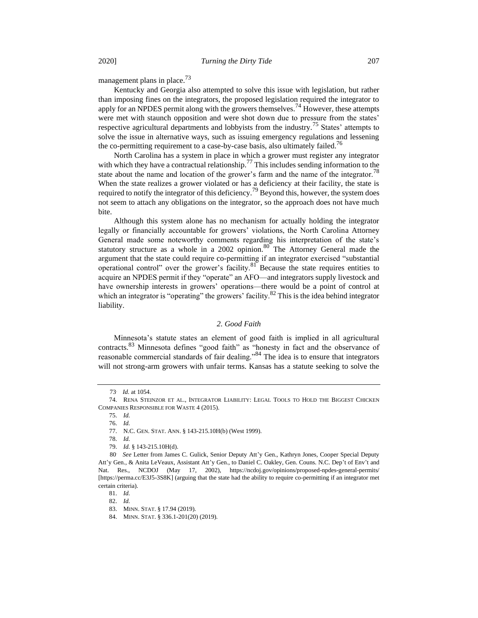management plans in place.<sup>73</sup>

Kentucky and Georgia also attempted to solve this issue with legislation, but rather than imposing fines on the integrators, the proposed legislation required the integrator to apply for an NPDES permit along with the growers themselves.<sup>74</sup> However, these attempts were met with staunch opposition and were shot down due to pressure from the states' respective agricultural departments and lobbyists from the industry.<sup>75</sup> States' attempts to solve the issue in alternative ways, such as issuing emergency regulations and lessening the co-permitting requirement to a case-by-case basis, also ultimately failed.<sup>76</sup>

North Carolina has a system in place in which a grower must register any integrator with which they have a contractual relationship.<sup>77</sup> This includes sending information to the state about the name and location of the grower's farm and the name of the integrator.<sup>78</sup> When the state realizes a grower violated or has a deficiency at their facility, the state is required to notify the integrator of this deficiency.<sup>79</sup> Beyond this, however, the system does not seem to attach any obligations on the integrator, so the approach does not have much bite.

Although this system alone has no mechanism for actually holding the integrator legally or financially accountable for growers' violations, the North Carolina Attorney General made some noteworthy comments regarding his interpretation of the state's statutory structure as a whole in a 2002 opinion. $80^{\circ}$  The Attorney General made the argument that the state could require co-permitting if an integrator exercised "substantial operational control" over the grower's facility.<sup>81</sup> Because the state requires entities to acquire an NPDES permit if they "operate" an AFO—and integrators supply livestock and have ownership interests in growers' operations—there would be a point of control at which an integrator is "operating" the growers' facility.<sup>82</sup> This is the idea behind integrator liability.

## <span id="page-8-0"></span>*2. Good Faith*

Minnesota's statute states an element of good faith is implied in all agricultural contracts.<sup>83</sup> Minnesota defines "good faith" as "honesty in fact and the observance of reasonable commercial standards of fair dealing."<sup>84</sup> The idea is to ensure that integrators will not strong-arm growers with unfair terms. Kansas has a statute seeking to solve the

81. *Id.*

<sup>73</sup>. *Id.* at 1054.

<sup>74.</sup> RENA STEINZOR ET AL., INTEGRATOR LIABILITY: LEGAL TOOLS TO HOLD THE BIGGEST CHICKEN COMPANIES RESPONSIBLE FOR WASTE 4 (2015).

<sup>75.</sup> *Id.*

<sup>76.</sup> *Id.*

<sup>77.</sup> N.C. GEN. STAT. ANN. § 143-215.10H(b) (West 1999).

<sup>78.</sup> *Id.*

<sup>79.</sup> *Id.* § 143-215.10H(d).

<sup>80</sup>. *See* Letter from James C. Gulick, Senior Deputy Att'y Gen., Kathryn Jones, Cooper Special Deputy Att'y Gen., & Anita LeVeaux, Assistant Att'y Gen., to Daniel C. Oakley, Gen. Couns. N.C. Dep't of Env't and Nat. Res., NCDOJ (May 17, 2002), https://ncdoj.gov/opinions/proposed-npdes-general-permits/ [https://perma.cc/E3J5-3S8K] (arguing that the state had the ability to require co-permitting if an integrator met certain criteria).

<sup>83.</sup> MINN. STAT. § 17.94 (2019).

<sup>84.</sup> MINN. STAT. § 336.1-201(20) (2019).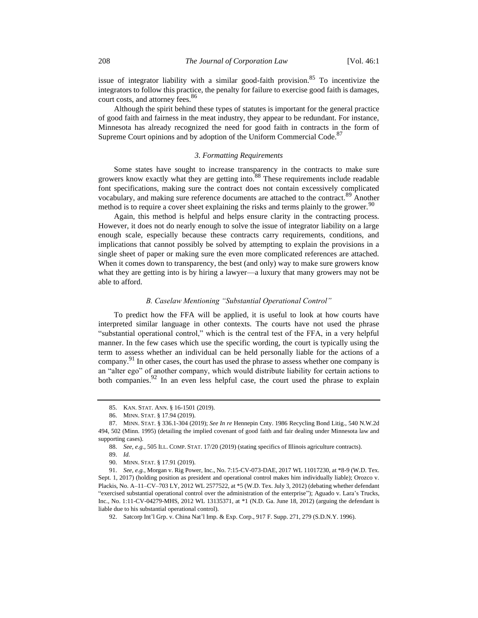issue of integrator liability with a similar good-faith provision.<sup>85</sup> To incentivize the integrators to follow this practice, the penalty for failure to exercise good faith is damages, court costs, and attorney fees.<sup>86</sup>

Although the spirit behind these types of statutes is important for the general practice of good faith and fairness in the meat industry, they appear to be redundant. For instance, Minnesota has already recognized the need for good faith in contracts in the form of Supreme Court opinions and by adoption of the Uniform Commercial Code.<sup>87</sup>

#### *3. Formatting Requirements*

Some states have sought to increase transparency in the contracts to make sure growers know exactly what they are getting into.<sup>88</sup> These requirements include readable font specifications, making sure the contract does not contain excessively complicated vocabulary, and making sure reference documents are attached to the contract.<sup>89</sup> Another method is to require a cover sheet explaining the risks and terms plainly to the grower.<sup>90</sup>

Again, this method is helpful and helps ensure clarity in the contracting process. However, it does not do nearly enough to solve the issue of integrator liability on a large enough scale, especially because these contracts carry requirements, conditions, and implications that cannot possibly be solved by attempting to explain the provisions in a single sheet of paper or making sure the even more complicated references are attached. When it comes down to transparency, the best (and only) way to make sure growers know what they are getting into is by hiring a lawyer—a luxury that many growers may not be able to afford.

## *B. Caselaw Mentioning "Substantial Operational Control"*

To predict how the FFA will be applied, it is useful to look at how courts have interpreted similar language in other contexts. The courts have not used the phrase "substantial operational control," which is the central test of the FFA, in a very helpful manner. In the few cases which use the specific wording, the court is typically using the term to assess whether an individual can be held personally liable for the actions of a company.<sup>91</sup> In other cases, the court has used the phrase to assess whether one company is an "alter ego" of another company, which would distribute liability for certain actions to both companies.<sup>92</sup> In an even less helpful case, the court used the phrase to explain

<sup>85.</sup> KAN. STAT. ANN. § 16-1501 (2019).

<sup>86.</sup> MINN. STAT. § 17.94 (2019).

<sup>87.</sup> MINN. STAT. § 336.1-304 (2019); *See In re* Hennepin Cnty. 1986 Recycling Bond Litig., 540 N.W.2d 494, 502 (Minn. 1995) (detailing the implied covenant of good faith and fair dealing under Minnesota law and supporting cases).

<sup>88.</sup> *See, e.g.*, 505 ILL. COMP. STAT. 17/20 (2019) (stating specifics of Illinois agriculture contracts).

<sup>90.</sup> MINN. STAT. § 17.91 (2019).

<sup>91.</sup> *See, e.g.*, Morgan v. Rig Power, Inc., No. 7:15-CV-073-DAE, 2017 WL 11017230, at \*8-9 (W.D. Tex. Sept. 1, 2017) (holding position as president and operational control makes him individually liable); Orozco v. Plackis, No. A–11–CV–703 LY, 2012 WL 2577522, at \*5 (W.D. Tex. July 3, 2012) (debating whether defendant "exercised substantial operational control over the administration of the enterprise"); Aguado v. Lara's Trucks, Inc., No. 1:11-CV-04279-MHS, 2012 WL 13135371, at \*1 (N.D. Ga. June 18, 2012) (arguing the defendant is liable due to his substantial operational control).

<sup>92.</sup> Satcorp Int'l Grp. v. China Nat'l Imp. & Exp. Corp., 917 F. Supp. 271, 279 (S.D.N.Y. 1996).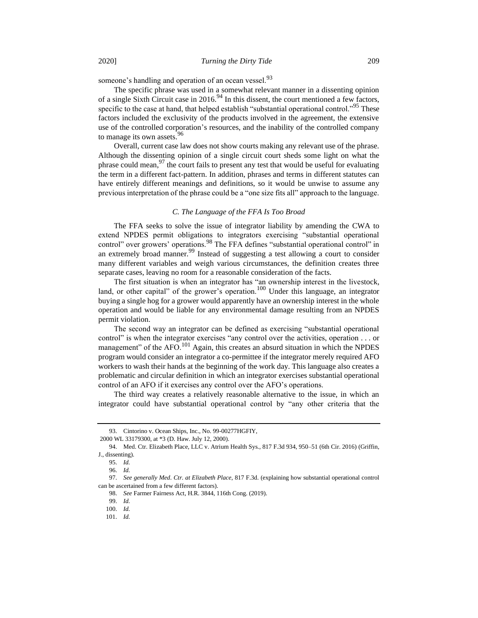someone's handling and operation of an ocean vessel.<sup>93</sup>

The specific phrase was used in a somewhat relevant manner in a dissenting opinion of a single Sixth Circuit case in 2016.<sup>94</sup> In this dissent, the court mentioned a few factors, specific to the case at hand, that helped establish "substantial operational control."<sup>95</sup> These factors included the exclusivity of the products involved in the agreement, the extensive use of the controlled corporation's resources, and the inability of the controlled company to manage its own assets.<sup>96</sup>

Overall, current case law does not show courts making any relevant use of the phrase. Although the dissenting opinion of a single circuit court sheds some light on what the phrase could mean,  $97$  the court fails to present any test that would be useful for evaluating the term in a different fact-pattern. In addition, phrases and terms in different statutes can have entirely different meanings and definitions, so it would be unwise to assume any previous interpretation of the phrase could be a "one size fits all" approach to the language.

#### *C. The Language of the FFA Is Too Broad*

The FFA seeks to solve the issue of integrator liability by amending the CWA to extend NPDES permit obligations to integrators exercising "substantial operational control" over growers' operations.<sup>98</sup> The FFA defines "substantial operational control" in an extremely broad manner.<sup>99</sup> Instead of suggesting a test allowing a court to consider many different variables and weigh various circumstances, the definition creates three separate cases, leaving no room for a reasonable consideration of the facts.

The first situation is when an integrator has "an ownership interest in the livestock, land, or other capital" of the grower's operation.<sup>100</sup> Under this language, an integrator buying a single hog for a grower would apparently have an ownership interest in the whole operation and would be liable for any environmental damage resulting from an NPDES permit violation.

The second way an integrator can be defined as exercising "substantial operational control" is when the integrator exercises "any control over the activities, operation . . . or management" of the AFO.<sup>101</sup> Again, this creates an absurd situation in which the NPDES program would consider an integrator a co-permittee if the integrator merely required AFO workers to wash their hands at the beginning of the work day. This language also creates a problematic and circular definition in which an integrator exercises substantial operational control of an AFO if it exercises any control over the AFO's operations.

The third way creates a relatively reasonable alternative to the issue, in which an integrator could have substantial operational control by "any other criteria that the

<sup>93.</sup> Cintorino v. Ocean Ships, Inc., No. 99-00277HGFIY,

<sup>2000</sup> WL 33179300, at \*3 (D. Haw. July 12, 2000).

<sup>94.</sup> Med. Ctr. Elizabeth Place, LLC v. Atrium Health Sys., 817 F.3d 934, 950–51 (6th Cir. 2016) (Griffin, J., dissenting).

<sup>95.</sup> *Id.*

<sup>96.</sup> *Id.*

<sup>97.</sup> *See generally Med. Ctr. at Elizabeth Place*, 817 F.3d. (explaining how substantial operational control can be ascertained from a few different factors).

<sup>98.</sup> *See* Farmer Fairness Act, H.R. 3844, 116th Cong. (2019).

<sup>99.</sup> *Id.*

<sup>100.</sup> *Id.*

<sup>101.</sup> *Id.*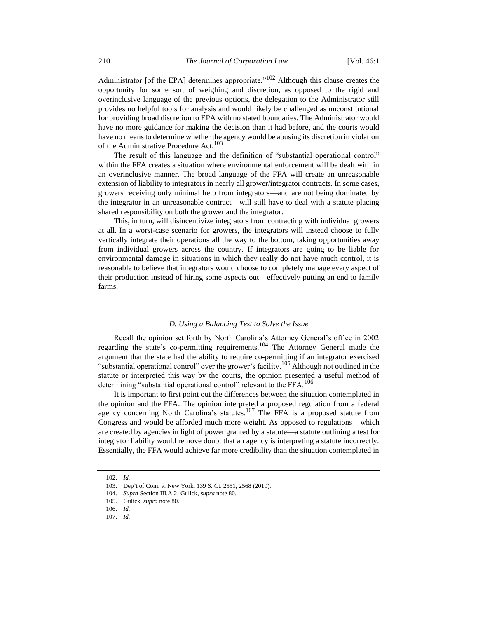Administrator [of the EPA] determines appropriate."<sup>102</sup> Although this clause creates the opportunity for some sort of weighing and discretion, as opposed to the rigid and overinclusive language of the previous options, the delegation to the Administrator still provides no helpful tools for analysis and would likely be challenged as unconstitutional for providing broad discretion to EPA with no stated boundaries. The Administrator would have no more guidance for making the decision than it had before, and the courts would have no means to determine whether the agency would be abusing its discretion in violation of the Administrative Procedure Act.<sup>103</sup>

The result of this language and the definition of "substantial operational control" within the FFA creates a situation where environmental enforcement will be dealt with in an overinclusive manner. The broad language of the FFA will create an unreasonable extension of liability to integrators in nearly all grower/integrator contracts. In some cases, growers receiving only minimal help from integrators—and are not being dominated by the integrator in an unreasonable contract—will still have to deal with a statute placing shared responsibility on both the grower and the integrator.

This, in turn, will disincentivize integrators from contracting with individual growers at all. In a worst-case scenario for growers, the integrators will instead choose to fully vertically integrate their operations all the way to the bottom, taking opportunities away from individual growers across the country. If integrators are going to be liable for environmental damage in situations in which they really do not have much control, it is reasonable to believe that integrators would choose to completely manage every aspect of their production instead of hiring some aspects out—effectively putting an end to family farms.

# *D. Using a Balancing Test to Solve the Issue*

Recall the opinion set forth by North Carolina's Attorney General's office in 2002 regarding the state's co-permitting requirements.<sup>104</sup> The Attorney General made the argument that the state had the ability to require co-permitting if an integrator exercised "substantial operational control" over the grower's facility.<sup>105</sup> Although not outlined in the statute or interpreted this way by the courts, the opinion presented a useful method of determining "substantial operational control" relevant to the FFA.<sup>106</sup>

It is important to first point out the differences between the situation contemplated in the opinion and the FFA. The opinion interpreted a proposed regulation from a federal agency concerning North Carolina's statutes.<sup>107</sup> The FFA is a proposed statute from Congress and would be afforded much more weight. As opposed to regulations—which are created by agencies in light of power granted by a statute—a statute outlining a test for integrator liability would remove doubt that an agency is interpreting a statute incorrectly. Essentially, the FFA would achieve far more credibility than the situation contemplated in

<sup>102.</sup> *Id.* 

<sup>103.</sup> Dep't of Com. v. New York, 139 S. Ct. 2551, 2568 (2019).

<sup>104.</sup> *Supra* Section III.A.2; Gulick, *supra* not[e 80.](#page-8-0)

<sup>105.</sup> Gulick, *supra* note [80.](#page-8-0)

<sup>106.</sup> *Id.*

<sup>107.</sup> *Id.*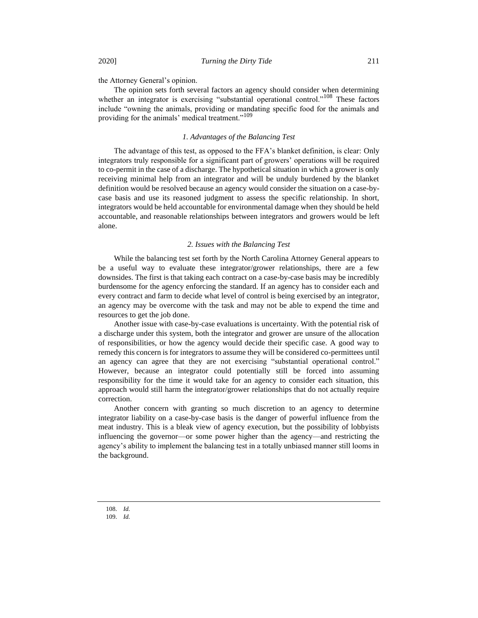the Attorney General's opinion.

The opinion sets forth several factors an agency should consider when determining whether an integrator is exercising "substantial operational control."<sup>108</sup> These factors include "owning the animals, providing or mandating specific food for the animals and providing for the animals' medical treatment."<sup>109</sup>

## *1. Advantages of the Balancing Test*

The advantage of this test, as opposed to the FFA's blanket definition, is clear: Only integrators truly responsible for a significant part of growers' operations will be required to co-permit in the case of a discharge. The hypothetical situation in which a grower is only receiving minimal help from an integrator and will be unduly burdened by the blanket definition would be resolved because an agency would consider the situation on a case-bycase basis and use its reasoned judgment to assess the specific relationship. In short, integrators would be held accountable for environmental damage when they should be held accountable, and reasonable relationships between integrators and growers would be left alone.

## *2. Issues with the Balancing Test*

While the balancing test set forth by the North Carolina Attorney General appears to be a useful way to evaluate these integrator/grower relationships, there are a few downsides. The first is that taking each contract on a case-by-case basis may be incredibly burdensome for the agency enforcing the standard. If an agency has to consider each and every contract and farm to decide what level of control is being exercised by an integrator, an agency may be overcome with the task and may not be able to expend the time and resources to get the job done.

Another issue with case-by-case evaluations is uncertainty. With the potential risk of a discharge under this system, both the integrator and grower are unsure of the allocation of responsibilities, or how the agency would decide their specific case. A good way to remedy this concern is for integrators to assume they will be considered co-permittees until an agency can agree that they are not exercising "substantial operational control." However, because an integrator could potentially still be forced into assuming responsibility for the time it would take for an agency to consider each situation, this approach would still harm the integrator/grower relationships that do not actually require correction.

Another concern with granting so much discretion to an agency to determine integrator liability on a case-by-case basis is the danger of powerful influence from the meat industry. This is a bleak view of agency execution, but the possibility of lobbyists influencing the governor—or some power higher than the agency—and restricting the agency's ability to implement the balancing test in a totally unbiased manner still looms in the background.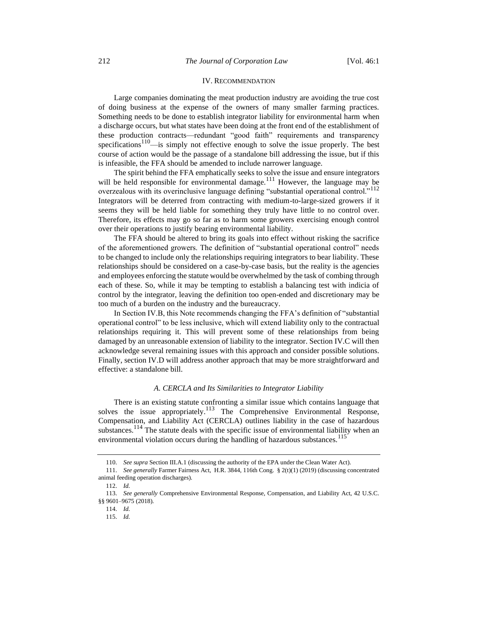## IV. RECOMMENDATION

Large companies dominating the meat production industry are avoiding the true cost of doing business at the expense of the owners of many smaller farming practices. Something needs to be done to establish integrator liability for environmental harm when a discharge occurs, but what states have been doing at the front end of the establishment of these production contracts—redundant "good faith" requirements and transparency specifications<sup>110</sup>—is simply not effective enough to solve the issue properly. The best course of action would be the passage of a standalone bill addressing the issue, but if this is infeasible, the FFA should be amended to include narrower language.

The spirit behind the FFA emphatically seeks to solve the issue and ensure integrators will be held responsible for environmental damage.<sup>111</sup> However, the language may be overzealous with its overinclusive language defining "substantial operational control."<sup>112</sup> Integrators will be deterred from contracting with medium-to-large-sized growers if it seems they will be held liable for something they truly have little to no control over. Therefore, its effects may go so far as to harm some growers exercising enough control over their operations to justify bearing environmental liability.

The FFA should be altered to bring its goals into effect without risking the sacrifice of the aforementioned growers. The definition of "substantial operational control" needs to be changed to include only the relationships requiring integrators to bear liability. These relationships should be considered on a case-by-case basis, but the reality is the agencies and employees enforcing the statute would be overwhelmed by the task of combing through each of these. So, while it may be tempting to establish a balancing test with indicia of control by the integrator, leaving the definition too open-ended and discretionary may be too much of a burden on the industry and the bureaucracy.

In Section IV.B, this Note recommends changing the FFA's definition of "substantial operational control" to be less inclusive, which will extend liability only to the contractual relationships requiring it. This will prevent some of these relationships from being damaged by an unreasonable extension of liability to the integrator. Section IV.C will then acknowledge several remaining issues with this approach and consider possible solutions. Finally, section IV.D will address another approach that may be more straightforward and effective: a standalone bill.

## *A. CERCLA and Its Similarities to Integrator Liability*

There is an existing statute confronting a similar issue which contains language that solves the issue appropriately.<sup>113</sup> The Comprehensive Environmental Response, Compensation, and Liability Act (CERCLA) outlines liability in the case of hazardous substances.<sup>114</sup> The statute deals with the specific issue of environmental liability when an environmental violation occurs during the handling of hazardous substances.<sup>115</sup>

<sup>110.</sup> *See supra* Section III.A.1 (discussing the authority of the EPA under the Clean Water Act).

<sup>111.</sup> *See generally* Farmer Fairness Act, H.R. 3844, 116th Cong. § 2(t)(1) (2019) (discussing concentrated animal feeding operation discharges).

<sup>112.</sup> *Id.* 

<sup>113.</sup> *See generally* Comprehensive Environmental Response, Compensation, and Liability Act, 42 U.S.C. §§ 9601–9675 (2018).

<sup>114.</sup> *Id.*

<sup>115.</sup> *Id.*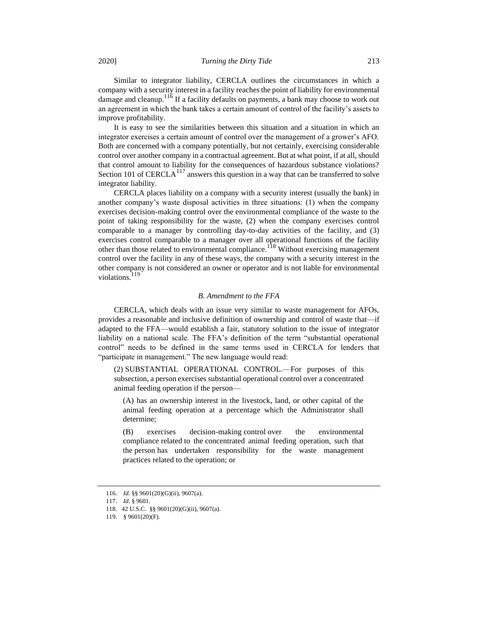Similar to integrator liability, CERCLA outlines the circumstances in which a company with a security interest in a facility reaches the point of liability for environmental damage and cleanup.<sup>116</sup> If a facility defaults on payments, a bank may choose to work out an agreement in which the bank takes a certain amount of control of the facility's assets to improve profitability.

It is easy to see the similarities between this situation and a situation in which an integrator exercises a certain amount of control over the management of a grower's AFO. Both are concerned with a company potentially, but not certainly, exercising considerable control over another company in a contractual agreement. But at what point, if at all, should that control amount to liability for the consequences of hazardous substance violations? Section 101 of CERCLA<sup>117</sup> answers this question in a way that can be transferred to solve integrator liability.

CERCLA places liability on a company with a security interest (usually the bank) in another company's waste disposal activities in three situations: (1) when the company exercises decision-making control over the environmental compliance of the waste to the point of taking responsibility for the waste, (2) when the company exercises control comparable to a manager by controlling day-to-day activities of the facility, and (3) exercises control comparable to a manager over all operational functions of the facility other than those related to environmental compliance.<sup>118</sup> Without exercising management control over the facility in any of these ways, the company with a security interest in the other company is not considered an owner or operator and is not liable for environmental violations.<sup>119</sup>

## *B. Amendment to the FFA*

CERCLA, which deals with an issue very similar to waste management for AFOs, provides a reasonable and inclusive definition of ownership and control of waste that—if adapted to the FFA—would establish a fair, statutory solution to the issue of integrator liability on a national scale. The FFA's definition of the term "substantial operational control" needs to be defined in the same terms used in CERCLA for lenders that "participate in management." The new language would read:

(2) SUBSTANTIAL OPERATIONAL CONTROL.—For purposes of this subsection, a person exercises substantial operational control over a concentrated animal feeding operation if the person—

(A) has an ownership interest in the livestock, land, or other capital of the animal feeding operation at a percentage which the Administrator shall determine;

(B) exercises decision-making control over the environmental compliance related to the concentrated animal feeding operation, such that the person has undertaken responsibility for the waste management practices related to the operation; or

<sup>116.</sup> *Id.* §§ 9601(20)(G)(ii), 9607(a).

<sup>117.</sup> *Id.* § 9601.

<sup>118.</sup> 42 U.S.C. §§ 9601(20)(G)(ii), 9607(a).

<sup>119.</sup> § 9601(20)(F).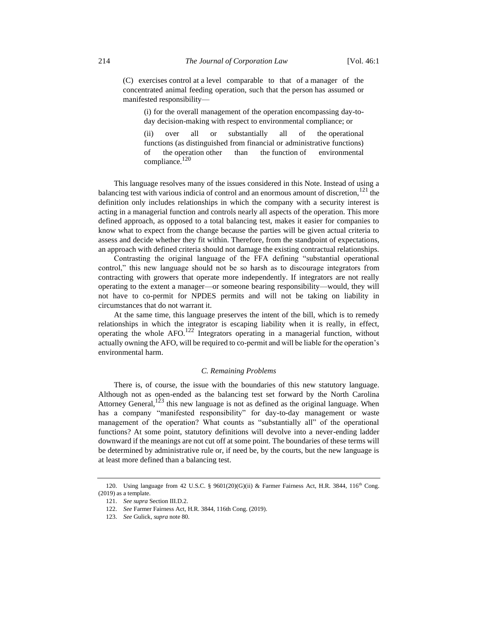(C) exercises control at a level comparable to that of a manager of the concentrated animal feeding operation, such that the person has assumed or manifested responsibility—

(i) for the overall management of the operation encompassing day-today decision-making with respect to environmental compliance; or

(ii) over all or substantially all of the operational functions (as distinguished from financial or administrative functions) of the operation other than the function of environmental compliance.<sup>120</sup>

This language resolves many of the issues considered in this Note. Instead of using a balancing test with various indicia of control and an enormous amount of discretion,<sup>121</sup> the definition only includes relationships in which the company with a security interest is acting in a managerial function and controls nearly all aspects of the operation. This more defined approach, as opposed to a total balancing test, makes it easier for companies to know what to expect from the change because the parties will be given actual criteria to assess and decide whether they fit within. Therefore, from the standpoint of expectations, an approach with defined criteria should not damage the existing contractual relationships.

Contrasting the original language of the FFA defining "substantial operational control," this new language should not be so harsh as to discourage integrators from contracting with growers that operate more independently. If integrators are not really operating to the extent a manager—or someone bearing responsibility—would, they will not have to co-permit for NPDES permits and will not be taking on liability in circumstances that do not warrant it.

At the same time, this language preserves the intent of the bill, which is to remedy relationships in which the integrator is escaping liability when it is really, in effect, operating the whole  $AFO$ <sup>122</sup> Integrators operating in a managerial function, without actually owning the AFO, will be required to co-permit and will be liable for the operation's environmental harm.

## *C. Remaining Problems*

There is, of course, the issue with the boundaries of this new statutory language. Although not as open-ended as the balancing test set forward by the North Carolina Attorney General,<sup>123</sup> this new language is not as defined as the original language. When has a company "manifested responsibility" for day-to-day management or waste management of the operation? What counts as "substantially all" of the operational functions? At some point, statutory definitions will devolve into a never-ending ladder downward if the meanings are not cut off at some point. The boundaries of these terms will be determined by administrative rule or, if need be, by the courts, but the new language is at least more defined than a balancing test.

<sup>120.</sup> Using language from 42 U.S.C. § 9601(20)(G)(ii) & Farmer Fairness Act, H.R. 3844, 116<sup>th</sup> Cong. (2019) as a template.

<sup>121.</sup> *See supra* Section III.D.2.

<sup>122.</sup> *See* Farmer Fairness Act, H.R. 3844, 116th Cong. (2019).

<sup>123.</sup> *See* Gulick, *supra* not[e 80.](#page-8-0)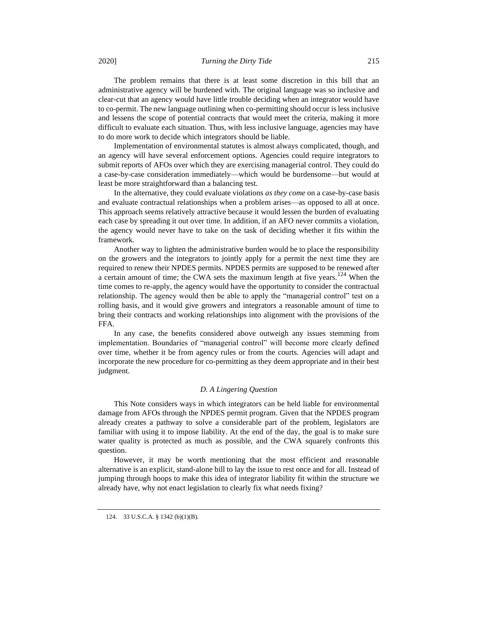The problem remains that there is at least some discretion in this bill that an administrative agency will be burdened with. The original language was so inclusive and clear-cut that an agency would have little trouble deciding when an integrator would have to co-permit. The new language outlining when co-permitting should occur is less inclusive and lessens the scope of potential contracts that would meet the criteria, making it more difficult to evaluate each situation. Thus, with less inclusive language, agencies may have to do more work to decide which integrators should be liable.

Implementation of environmental statutes is almost always complicated, though, and an agency will have several enforcement options. Agencies could require integrators to submit reports of AFOs over which they are exercising managerial control. They could do a case-by-case consideration immediately—which would be burdensome—but would at least be more straightforward than a balancing test.

In the alternative, they could evaluate violations *as they come* on a case-by-case basis and evaluate contractual relationships when a problem arises—as opposed to all at once. This approach seems relatively attractive because it would lessen the burden of evaluating each case by spreading it out over time. In addition, if an AFO never commits a violation, the agency would never have to take on the task of deciding whether it fits within the framework.

Another way to lighten the administrative burden would be to place the responsibility on the growers and the integrators to jointly apply for a permit the next time they are required to renew their NPDES permits. NPDES permits are supposed to be renewed after a certain amount of time; the CWA sets the maximum length at five years.<sup>124</sup> When the time comes to re-apply, the agency would have the opportunity to consider the contractual relationship. The agency would then be able to apply the "managerial control" test on a rolling basis, and it would give growers and integrators a reasonable amount of time to bring their contracts and working relationships into alignment with the provisions of the FFA.

In any case, the benefits considered above outweigh any issues stemming from implementation. Boundaries of "managerial control" will become more clearly defined over time, whether it be from agency rules or from the courts. Agencies will adapt and incorporate the new procedure for co-permitting as they deem appropriate and in their best judgment.

## *D. A Lingering Question*

This Note considers ways in which integrators can be held liable for environmental damage from AFOs through the NPDES permit program. Given that the NPDES program already creates a pathway to solve a considerable part of the problem, legislators are familiar with using it to impose liability. At the end of the day, the goal is to make sure water quality is protected as much as possible, and the CWA squarely confronts this question.

However, it may be worth mentioning that the most efficient and reasonable alternative is an explicit, stand-alone bill to lay the issue to rest once and for all. Instead of jumping through hoops to make this idea of integrator liability fit within the structure we already have, why not enact legislation to clearly fix what needs fixing?

<sup>124.</sup> 33 U.S.C.A. § 1342 (b)(1)(B).